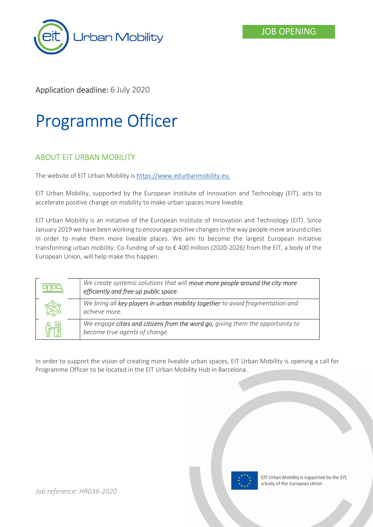



## Application deadline: 6 July 2020

# Programme Officer

## ABOUT EIT URBAN MOBILITY

The website of EIT Urban Mobility is https://www.eiturbanmobility.eu.

EIT Urban Mobility, supported by the European Institute of Innovation and Technology (EIT), acts to accelerate positive change on mobility to make urban spaces more liveable.

EIT Urban Mobility is an initiative of the European Institute of Innovation and Technology (EIT). Since January 2019 we have been working to encourage positive changes in the way people move around cities in order to make them more liveable places. We aim to become the largest European initiative transforming urban mobility. Co-funding of up to € 400 million (2020-2026) from the EIT, a body of the European Union, will help make this happen.

| We create systemic solutions that will move more people around the city more<br>efficiently and free up public space. |
|-----------------------------------------------------------------------------------------------------------------------|
| We bring all key players in urban mobility together to avoid fragmentation and<br>achieve more.                       |
| We engage cities and citizens from the word go, giving them the opportunity to<br>become true agents of change.       |

In order to support the vision of creating more liveable urban spaces, EIT Urban Mobility is opening a call for Programme Officer to be located in the EIT Urban Mobility Hub in Barcelona.

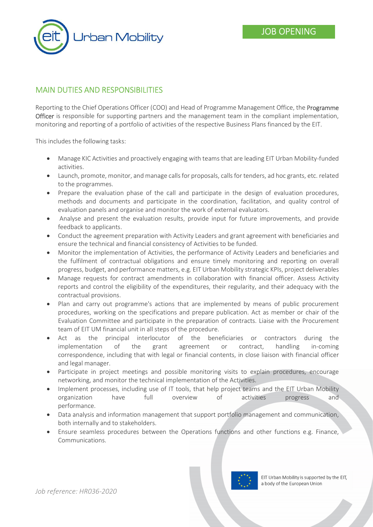

## MAIN DUTIES AND RESPONSIBILITIES

Reporting to the Chief Operations Officer (COO) and Head of Programme Management Office, the Programme **Officer** is responsible for supporting partners and the management team in the compliant implementation, monitoring and reporting of a portfolio of activities of the respective Business Plans financed by the EIT.

This includes the following tasks:

- Manage KIC Activities and proactively engaging with teams that are leading EIT Urban Mobility-funded activities.
- Launch, promote, monitor, and manage calls for proposals, calls for tenders, ad hoc grants, etc. related to the programmes.
- Prepare the evaluation phase of the call and participate in the design of evaluation procedures, methods and documents and participate in the coordination, facilitation, and quality control of evaluation panels and organise and monitor the work of external evaluators.
- Analyse and present the evaluation results, provide input for future improvements, and provide feedback to applicants.
- Conduct the agreement preparation with Activity Leaders and grant agreement with beneficiaries and ensure the technical and financial consistency of Activities to be funded.
- Monitor the implementation of Activities, the performance of Activity Leaders and beneficiaries and the fulfilment of contractual obligations and ensure timely monitoring and reporting on overall progress, budget, and performance matters, e.g. EIT Urban Mobility strategic KPIs, project deliverables
- Manage requests for contract amendments in collaboration with financial officer. Assess Activity reports and control the eligibility of the expenditures, their regularity, and their adequacy with the contractual provisions.
- Plan and carry out programme's actions that are implemented by means of public procurement procedures, working on the specifications and prepare publication. Act as member or chair of the Evaluation Committee and participate in the preparation of contracts. Liaise with the Procurement team of EIT UM financial unit in all steps of the procedure.
- Act as the principal interlocutor of the beneficiaries or contractors during the implementation of the grant agreement or contract, handling in-coming correspondence, including that with legal or financial contents, in close liaison with financial officer and legal manager.
- Participate in project meetings and possible monitoring visits to explain procedures, encourage networking, and monitor the technical implementation of the Activities.
- Implement processes, including use of IT tools, that help project teams and the EIT Urban Mobility organization have full overview of activities progress and performance.
- Data analysis and information management that support portfolio management and communication, both internally and to stakeholders.
- Ensure seamless procedures between the Operations functions and other functions e.g. Finance, Communications.

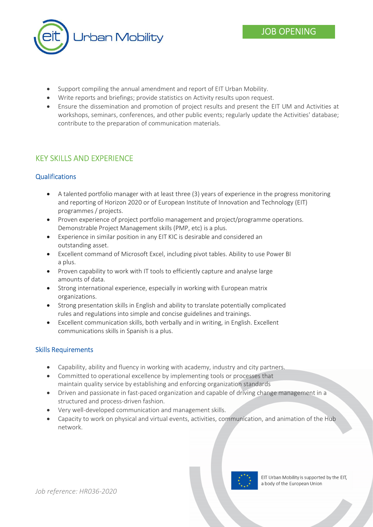

- Support compiling the annual amendment and report of EIT Urban Mobility.
- Write reports and briefings; provide statistics on Activity results upon request.
- Ensure the dissemination and promotion of project results and present the EIT UM and Activities at workshops, seminars, conferences, and other public events; regularly update the Activities' database; contribute to the preparation of communication materials.

# KEY SKILLS AND EXPERIENCE

#### **Qualifications**

- A talented portfolio manager with at least three (3) years of experience in the progress monitoring and reporting of Horizon 2020 or of European Institute of Innovation and Technology (EIT) programmes / projects.
- Proven experience of project portfolio management and project/programme operations. Demonstrable Project Management skills (PMP, etc) is a plus.
- Experience in similar position in any EIT KIC is desirable and considered an outstanding asset.
- Excellent command of Microsoft Excel, including pivot tables. Ability to use Power BI a plus.
- Proven capability to work with IT tools to efficiently capture and analyse large amounts of data.
- Strong international experience, especially in working with European matrix organizations.
- Strong presentation skills in English and ability to translate potentially complicated rules and regulations into simple and concise guidelines and trainings.
- Excellent communication skills, both verbally and in writing, in English. Excellent communications skills in Spanish is a plus.

#### Skills Requirements

- Capability, ability and fluency in working with academy, industry and city partners.
- Committed to operational excellence by implementing tools or processes that maintain quality service by establishing and enforcing organization standards
- Driven and passionate in fast-paced organization and capable of driving change management in a structured and process-driven fashion.
- Very well-developed communication and management skills.
- Capacity to work on physical and virtual events, activities, communication, and animation of the Hub network.

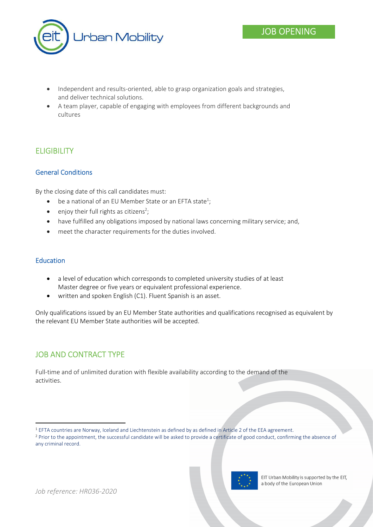

- Independent and results-oriented, able to grasp organization goals and strategies, and deliver technical solutions.
- A team player, capable of engaging with employees from different backgrounds and cultures

# **ELIGIBILITY**

#### General Conditions

By the closing date of this call candidates must:

- $\bullet$  be a national of an EU Member State or an EFTA state<sup>1</sup>;
- $\bullet$  enjoy their full rights as citizens<sup>2</sup>;
- have fulfilled any obligations imposed by national laws concerning military service; and,
- meet the character requirements for the duties involved.

#### Education

-

- a level of education which corresponds to completed university studies of at least Master degree or five years or equivalent professional experience.
- written and spoken English (C1). Fluent Spanish is an asset.

Only qualifications issued by an EU Member State authorities and qualifications recognised as equivalent by the relevant EU Member State authorities will be accepted.

## JOB AND CONTRACT TYPE

Full-time and of unlimited duration with flexible availability according to the demand of the activities.

<sup>&</sup>lt;sup>2</sup> Prior to the appointment, the successful candidate will be asked to provide a certificate of good conduct, confirming the absence of any criminal record.



EIT Urban Mobility is supported by the EIT, a body of the European Union

JOB OPENING

<sup>1</sup> EFTA countries are Norway, Iceland and Liechtenstein as defined by as defined in Article 2 of the EEA agreement.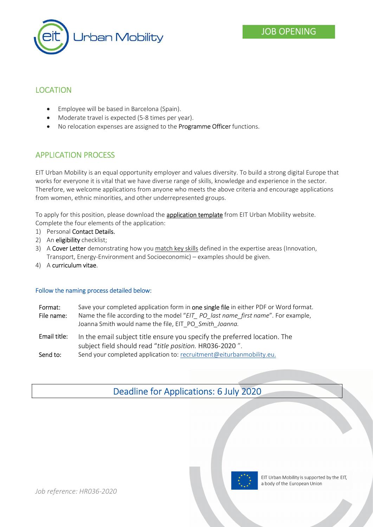

## LOCATION

- Employee will be based in Barcelona (Spain).
- Moderate travel is expected (5-8 times per year).
- No relocation expenses are assigned to the **Programme Officer** functions.

## APPLICATION PROCESS

EIT Urban Mobility is an equal opportunity employer and values diversity. To build a strong digital Europe that works for everyone it is vital that we have diverse range of skills, knowledge and experience in the sector. Therefore, we welcome applications from anyone who meets the above criteria and encourage applications from women, ethnic minorities, and other underrepresented groups.

To apply for this position, please download the **application template** from EIT Urban Mobility website. Complete the four elements of the application:

- 1) Personal Contact Details.
- 2) An eligibility checklist;
- 3) A Cover Letter demonstrating how you match key skills defined in the expertise areas (Innovation, Transport, Energy-Environment and Socioeconomic) – examples should be given.
- 4) A curriculum vitae.

#### Follow the naming process detailed below:

| Format:<br>File name: | Save your completed application form in one single file in either PDF or Word format.<br>Name the file according to the model "EIT PO last name first name". For example,<br>Joanna Smith would name the file, EIT PO Smith Joanna. |
|-----------------------|-------------------------------------------------------------------------------------------------------------------------------------------------------------------------------------------------------------------------------------|
| Email title:          | In the email subject title ensure you specify the preferred location. The<br>subject field should read "title position. HR036-2020".                                                                                                |
| Send to:              | Send your completed application to: recruitment@eiturbanmobility.eu.                                                                                                                                                                |

# Deadline for Applications: 6 July 2020